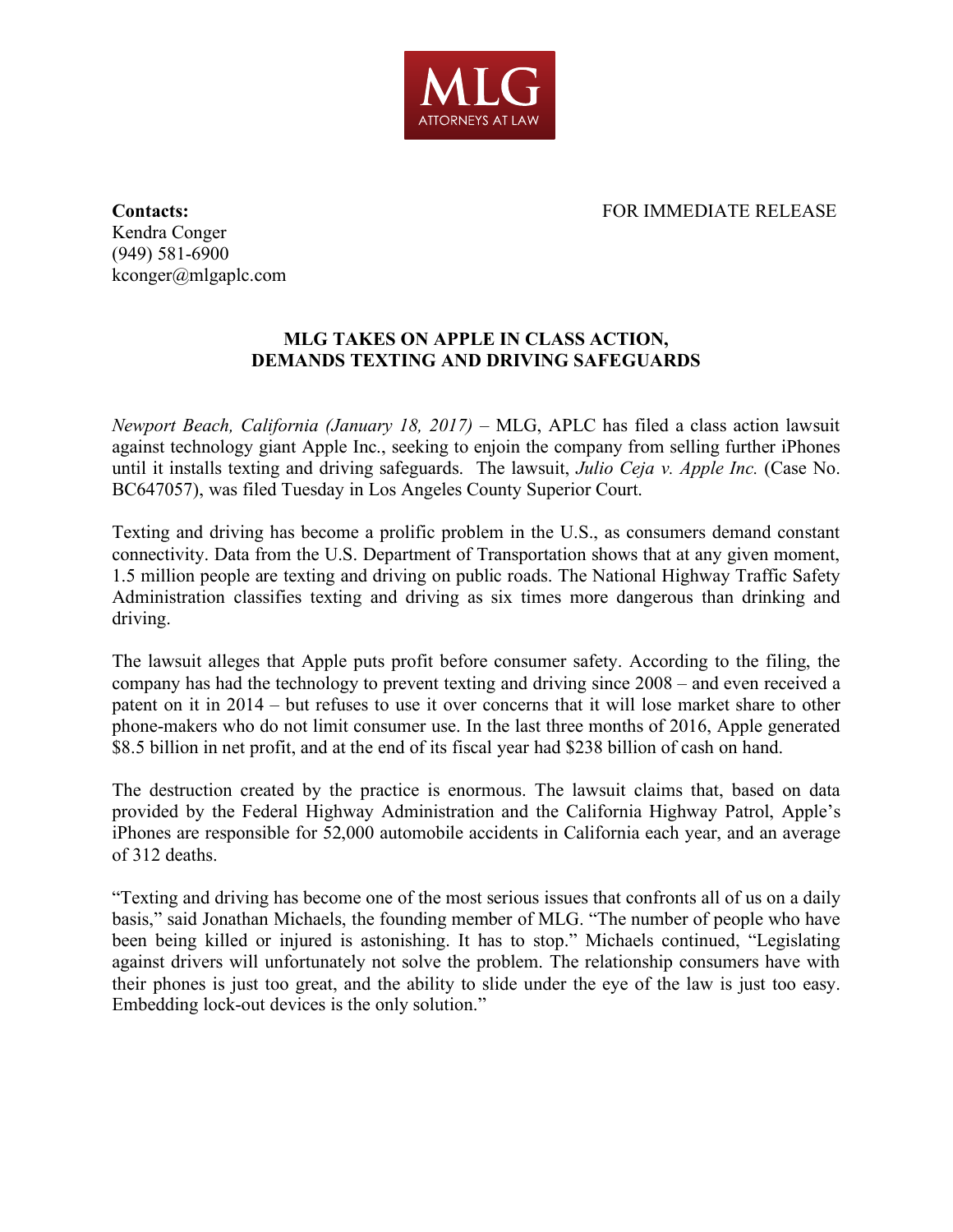

**Contacts:** FOR IMMEDIATE RELEASE

Kendra Conger (949) 581-6900 kconger@mlgaplc.com

## **MLG TAKES ON APPLE IN CLASS ACTION, DEMANDS TEXTING AND DRIVING SAFEGUARDS**

*Newport Beach, California (January 18, 2017)* – MLG, APLC has filed a class action lawsuit against technology giant Apple Inc., seeking to enjoin the company from selling further iPhones until it installs texting and driving safeguards. The lawsuit, *Julio Ceja v. Apple Inc.* (Case No. BC647057), was filed Tuesday in Los Angeles County Superior Court.

Texting and driving has become a prolific problem in the U.S., as consumers demand constant connectivity. Data from the U.S. Department of Transportation shows that at any given moment, 1.5 million people are texting and driving on public roads. The National Highway Traffic Safety Administration classifies texting and driving as six times more dangerous than drinking and driving.

The lawsuit alleges that Apple puts profit before consumer safety. According to the filing, the company has had the technology to prevent texting and driving since 2008 – and even received a patent on it in 2014 – but refuses to use it over concerns that it will lose market share to other phone-makers who do not limit consumer use. In the last three months of 2016, Apple generated \$8.5 billion in net profit, and at the end of its fiscal year had \$238 billion of cash on hand.

The destruction created by the practice is enormous. The lawsuit claims that, based on data provided by the Federal Highway Administration and the California Highway Patrol, Apple's iPhones are responsible for 52,000 automobile accidents in California each year, and an average of 312 deaths.

"Texting and driving has become one of the most serious issues that confronts all of us on a daily basis," said Jonathan Michaels, the founding member of MLG. "The number of people who have been being killed or injured is astonishing. It has to stop." Michaels continued, "Legislating against drivers will unfortunately not solve the problem. The relationship consumers have with their phones is just too great, and the ability to slide under the eye of the law is just too easy. Embedding lock-out devices is the only solution."